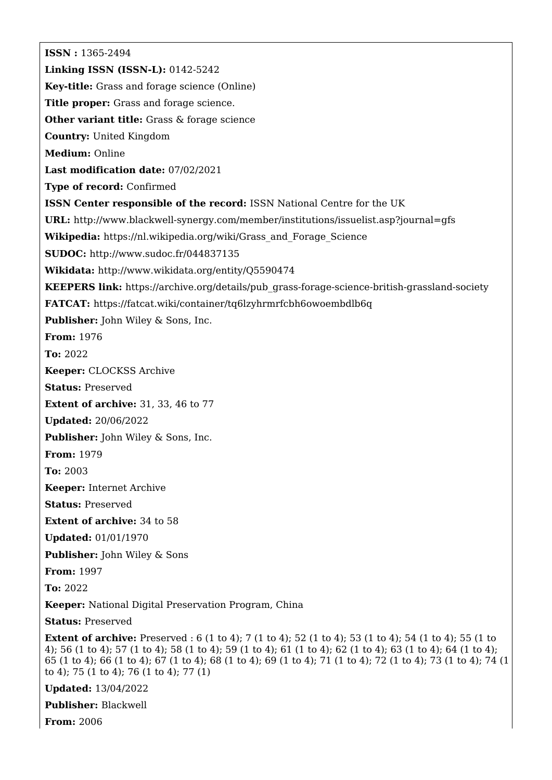**ISSN :** 1365-2494 **Linking ISSN (ISSN-L):** 0142-5242 **Key-title:** Grass and forage science (Online) **Title proper:** Grass and forage science. **Other variant title:** Grass & forage science **Country:** United Kingdom **Medium:** Online **Last modification date:** 07/02/2021 **Type of record:** Confirmed **ISSN Center responsible of the record:** ISSN National Centre for the UK **URL:** <http://www.blackwell-synergy.com/member/institutions/issuelist.asp?journal=gfs> **Wikipedia:** [https://nl.wikipedia.org/wiki/Grass\\_and\\_Forage\\_Science](https://nl.wikipedia.org/wiki/Grass_and_Forage_Science) **SUDOC:** <http://www.sudoc.fr/044837135> **Wikidata:** <http://www.wikidata.org/entity/Q5590474> **KEEPERS link:** [https://archive.org/details/pub\\_grass-forage-science-british-grassland-society](https://archive.org/details/pub_grass-forage-science-british-grassland-society) **FATCAT:** <https://fatcat.wiki/container/tq6lzyhrmrfcbh6owoembdlb6q> **Publisher:** John Wiley & Sons, Inc. **From:** 1976 **To:** 2022 **Keeper:** CLOCKSS Archive **Status:** Preserved **Extent of archive:** 31, 33, 46 to 77 **Updated:** 20/06/2022 **Publisher:** John Wiley & Sons, Inc. **From:** 1979 **To:** 2003 **Keeper:** Internet Archive **Status:** Preserved **Extent of archive:** 34 to 58 **Updated:** 01/01/1970 **Publisher:** John Wiley & Sons **From:** 1997 **To:** 2022 **Keeper:** National Digital Preservation Program, China **Status:** Preserved **Extent of archive:** Preserved : 6 (1 to 4); 7 (1 to 4); 52 (1 to 4); 53 (1 to 4); 54 (1 to 4); 55 (1 to 4); 56 (1 to 4); 57 (1 to 4); 58 (1 to 4); 59 (1 to 4); 61 (1 to 4); 62 (1 to 4); 63 (1 to 4); 64 (1 to 4); 65 (1 to 4); 66 (1 to 4); 67 (1 to 4); 68 (1 to 4); 69 (1 to 4); 71 (1 to 4); 72 (1 to 4); 73 (1 to 4); 74 (1 to 4); 75 (1 to 4); 76 (1 to 4); 77 (1) **Updated:** 13/04/2022

**Publisher:** Blackwell

**From:** 2006